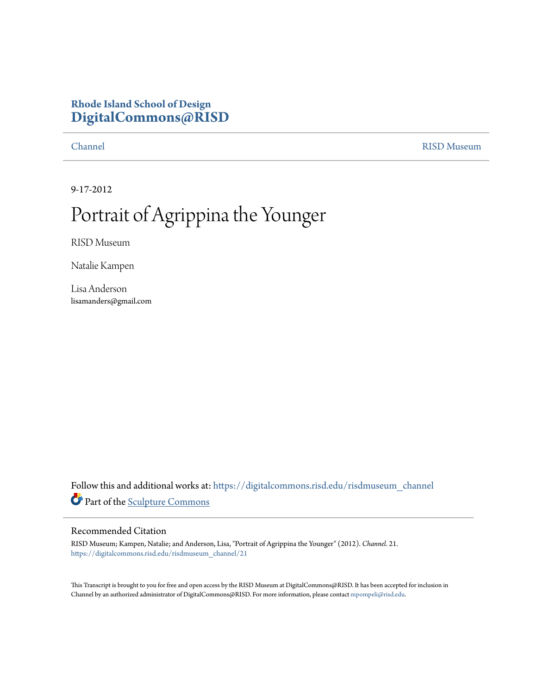## **Rhode Island School of Design [DigitalCommons@RISD](https://digitalcommons.risd.edu?utm_source=digitalcommons.risd.edu%2Frisdmuseum_channel%2F21&utm_medium=PDF&utm_campaign=PDFCoverPages)**

[Channel](https://digitalcommons.risd.edu/risdmuseum_channel?utm_source=digitalcommons.risd.edu%2Frisdmuseum_channel%2F21&utm_medium=PDF&utm_campaign=PDFCoverPages) [RISD Museum](https://digitalcommons.risd.edu/risdmuseum?utm_source=digitalcommons.risd.edu%2Frisdmuseum_channel%2F21&utm_medium=PDF&utm_campaign=PDFCoverPages)

9-17-2012

## Portrait of Agrippina the Younger

RISD Museum

Natalie Kampen

Lisa Anderson lisamanders@gmail.com

Follow this and additional works at: [https://digitalcommons.risd.edu/risdmuseum\\_channel](https://digitalcommons.risd.edu/risdmuseum_channel?utm_source=digitalcommons.risd.edu%2Frisdmuseum_channel%2F21&utm_medium=PDF&utm_campaign=PDFCoverPages) Part of the [Sculpture Commons](http://network.bepress.com/hgg/discipline/1341?utm_source=digitalcommons.risd.edu%2Frisdmuseum_channel%2F21&utm_medium=PDF&utm_campaign=PDFCoverPages)

## Recommended Citation

RISD Museum; Kampen, Natalie; and Anderson, Lisa, "Portrait of Agrippina the Younger" (2012). *Channel*. 21. [https://digitalcommons.risd.edu/risdmuseum\\_channel/21](https://digitalcommons.risd.edu/risdmuseum_channel/21?utm_source=digitalcommons.risd.edu%2Frisdmuseum_channel%2F21&utm_medium=PDF&utm_campaign=PDFCoverPages)

This Transcript is brought to you for free and open access by the RISD Museum at DigitalCommons@RISD. It has been accepted for inclusion in Channel by an authorized administrator of DigitalCommons@RISD. For more information, please contact [mpompeli@risd.edu.](mailto:mpompeli@risd.edu)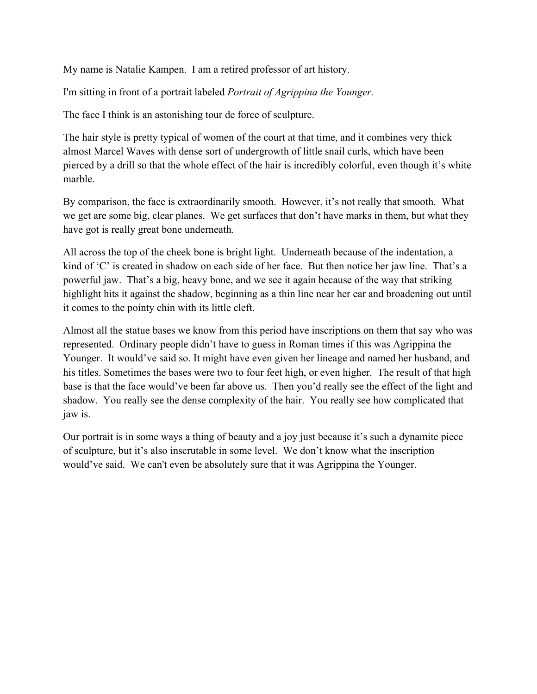My name is Natalie Kampen. I am a retired professor of art history.

I'm sitting in front of a portrait labeled *Portrait of Agrippina the Younger.*

The face I think is an astonishing tour de force of sculpture.

The hair style is pretty typical of women of the court at that time, and it combines very thick almost Marcel Waves with dense sort of undergrowth of little snail curls, which have been pierced by a drill so that the whole effect of the hair is incredibly colorful, even though it's white marble.

By comparison, the face is extraordinarily smooth. However, it's not really that smooth. What we get are some big, clear planes. We get surfaces that don't have marks in them, but what they have got is really great bone underneath.

All across the top of the cheek bone is bright light. Underneath because of the indentation, a kind of 'C' is created in shadow on each side of her face. But then notice her jaw line. That's a powerful jaw. That's a big, heavy bone, and we see it again because of the way that striking highlight hits it against the shadow, beginning as a thin line near her ear and broadening out until it comes to the pointy chin with its little cleft.

Almost all the statue bases we know from this period have inscriptions on them that say who was represented. Ordinary people didn't have to guess in Roman times if this was Agrippina the Younger. It would've said so. It might have even given her lineage and named her husband, and his titles. Sometimes the bases were two to four feet high, or even higher. The result of that high base is that the face would've been far above us. Then you'd really see the effect of the light and shadow. You really see the dense complexity of the hair. You really see how complicated that jaw is.

Our portrait is in some ways a thing of beauty and a joy just because it's such a dynamite piece of sculpture, but it's also inscrutable in some level. We don't know what the inscription would've said. We can't even be absolutely sure that it was Agrippina the Younger.